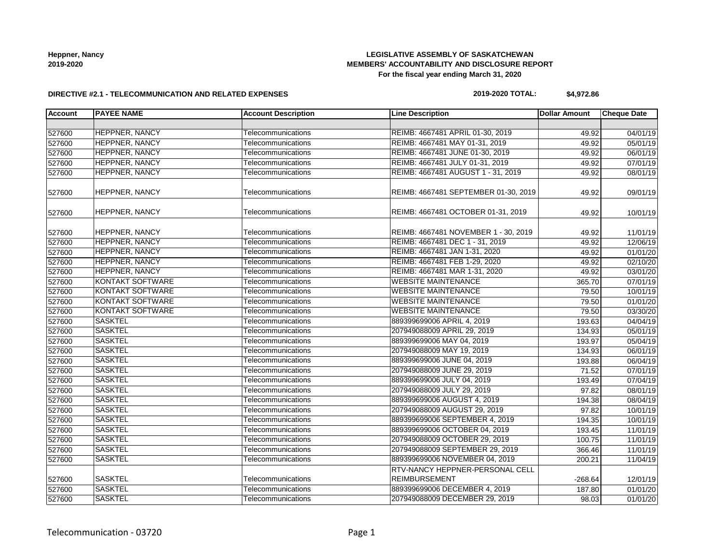## **LEGISLATIVE ASSEMBLY OF SASKATCHEWAN MEMBERS' ACCOUNTABILITY AND DISCLOSURE REPORT For the fiscal year ending March 31, 2020**

#### **DIRECTIVE #2.1 - TELECOMMUNICATION AND RELATED EXPENSES**

## **2019-2020 TOTAL: \$4,972.86**

| <b>Account</b> | <b>PAYEE NAME</b>       | <b>Account Description</b> | <b>Line Description</b>              | <b>Dollar Amount</b> | <b>Cheque Date</b> |
|----------------|-------------------------|----------------------------|--------------------------------------|----------------------|--------------------|
|                |                         |                            |                                      |                      |                    |
| 527600         | <b>HEPPNER, NANCY</b>   | Telecommunications         | REIMB: 4667481 APRIL 01-30, 2019     | 49.92                | 04/01/19           |
| 527600         | <b>HEPPNER, NANCY</b>   | Telecommunications         | REIMB: 4667481 MAY 01-31, 2019       | 49.92                | 05/01/19           |
| 527600         | <b>HEPPNER, NANCY</b>   | Telecommunications         | REIMB: 4667481 JUNE 01-30, 2019      | 49.92                | 06/01/19           |
| 527600         | <b>HEPPNER, NANCY</b>   | Telecommunications         | REIMB: 4667481 JULY 01-31, 2019      | 49.92                | 07/01/19           |
| 527600         | <b>HEPPNER, NANCY</b>   | Telecommunications         | REIMB: 4667481 AUGUST 1 - 31, 2019   | 49.92                | 08/01/19           |
| 527600         | HEPPNER, NANCY          | Telecommunications         | REIMB: 4667481 SEPTEMBER 01-30, 2019 | 49.92                | 09/01/19           |
|                |                         |                            |                                      |                      |                    |
| 527600         | HEPPNER, NANCY          | Telecommunications         | REIMB: 4667481 OCTOBER 01-31, 2019   | 49.92                | 10/01/19           |
| 527600         | HEPPNER, NANCY          | Telecommunications         | REIMB: 4667481 NOVEMBER 1 - 30, 2019 | 49.92                | 11/01/19           |
| 527600         | HEPPNER, NANCY          | Telecommunications         | REIMB: 4667481 DEC 1 - 31, 2019      | 49.92                | 12/06/19           |
| 527600         | <b>HEPPNER, NANCY</b>   | Telecommunications         | REIMB: 4667481 JAN 1-31, 2020        | 49.92                | 01/01/20           |
| 527600         | HEPPNER, NANCY          | Telecommunications         | REIMB: 4667481 FEB 1-29, 2020        | 49.92                | 02/10/20           |
| 527600         | <b>HEPPNER, NANCY</b>   | Telecommunications         | REIMB: 4667481 MAR 1-31, 2020        | 49.92                | 03/01/20           |
| 527600         | <b>KONTAKT SOFTWARE</b> | Telecommunications         | <b>WEBSITE MAINTENANCE</b>           | 365.70               | 07/01/19           |
| 527600         | <b>KONTAKT SOFTWARE</b> | Telecommunications         | <b>WEBSITE MAINTENANCE</b>           | 79.50                | 10/01/19           |
| 527600         | <b>KONTAKT SOFTWARE</b> | Telecommunications         | <b>WEBSITE MAINTENANCE</b>           | 79.50                | 01/01/20           |
| 527600         | <b>KONTAKT SOFTWARE</b> | Telecommunications         | <b>WEBSITE MAINTENANCE</b>           | 79.50                | 03/30/20           |
| 527600         | <b>SASKTEL</b>          | Telecommunications         | 889399699006 APRIL 4, 2019           | 193.63               | 04/04/19           |
| 527600         | <b>SASKTEL</b>          | Telecommunications         | 207949088009 APRIL 29, 2019          | 134.93               | 05/01/19           |
| 527600         | <b>SASKTEL</b>          | Telecommunications         | 889399699006 MAY 04, 2019            | 193.97               | 05/04/19           |
| 527600         | <b>SASKTEL</b>          | Telecommunications         | 207949088009 MAY 19, 2019            | 134.93               | 06/01/19           |
| 527600         | <b>SASKTEL</b>          | Telecommunications         | 889399699006 JUNE 04, 2019           | 193.88               | 06/04/19           |
| 527600         | <b>SASKTEL</b>          | Telecommunications         | 207949088009 JUNE 29, 2019           | 71.52                | 07/01/19           |
| 527600         | <b>SASKTEL</b>          | Telecommunications         | 889399699006 JULY 04, 2019           | 193.49               | 07/04/19           |
| 527600         | <b>SASKTEL</b>          | Telecommunications         | 207949088009 JULY 29, 2019           | 97.82                | 08/01/19           |
| 527600         | <b>SASKTEL</b>          | Telecommunications         | 889399699006 AUGUST 4, 2019          | 194.38               | 08/04/19           |
| 527600         | <b>SASKTEL</b>          | Telecommunications         | 207949088009 AUGUST 29, 2019         | 97.82                | 10/01/19           |
| 527600         | <b>SASKTEL</b>          | Telecommunications         | 889399699006 SEPTEMBER 4, 2019       | 194.35               | 10/01/19           |
| 527600         | <b>SASKTEL</b>          | Telecommunications         | 889399699006 OCTOBER 04, 2019        | 193.45               | 11/01/19           |
| 527600         | <b>SASKTEL</b>          | Telecommunications         | 207949088009 OCTOBER 29, 2019        | 100.75               | 11/01/19           |
| 527600         | <b>SASKTEL</b>          | Telecommunications         | 207949088009 SEPTEMBER 29, 2019      | 366.46               | 11/01/19           |
| 527600         | <b>SASKTEL</b>          | Telecommunications         | 889399699006 NOVEMBER 04, 2019       | 200.21               | 11/04/19           |
|                |                         |                            | RTV-NANCY HEPPNER-PERSONAL CELL      |                      |                    |
| 527600         | <b>SASKTEL</b>          | Telecommunications         | <b>REIMBURSEMENT</b>                 | $-268.64$            | 12/01/19           |
| 527600         | <b>SASKTEL</b>          | Telecommunications         | 889399699006 DECEMBER 4, 2019        | 187.80               | 01/01/20           |
| 527600         | <b>SASKTEL</b>          | Telecommunications         | 207949088009 DECEMBER 29, 2019       | 98.03                | 01/01/20           |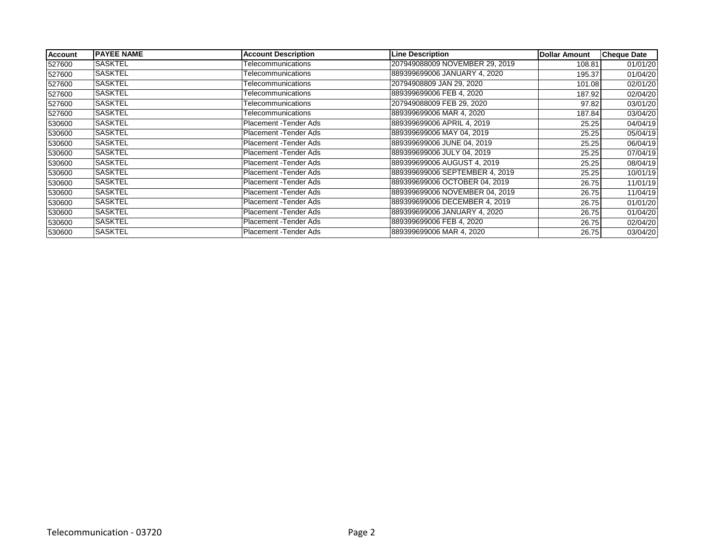| <b>Account</b> | <b>PAYEE NAME</b> | <b>Account Description</b> | <b>Line Description</b>        | <b>Dollar Amount</b> | <b>Cheque Date</b> |
|----------------|-------------------|----------------------------|--------------------------------|----------------------|--------------------|
| 527600         | <b>SASKTEL</b>    | Telecommunications         | 207949088009 NOVEMBER 29, 2019 | 108.81               | 01/01/20           |
| 527600         | <b>SASKTEL</b>    | Telecommunications         | 889399699006 JANUARY 4, 2020   | 195.37               | 01/04/20           |
| 527600         | <b>SASKTEL</b>    | Telecommunications         | 20794908809 JAN 29, 2020       | 101.08               | 02/01/20           |
| 527600         | <b>SASKTEL</b>    | Telecommunications         | 889399699006 FEB 4, 2020       | 187.92               | 02/04/20           |
| 527600         | <b>SASKTEL</b>    | Telecommunications         | 207949088009 FEB 29, 2020      | 97.82                | 03/01/20           |
| 527600         | <b>SASKTEL</b>    | Telecommunications         | 889399699006 MAR 4, 2020       | 187.84               | 03/04/20           |
| 530600         | ISASKTEL          | Placement - Tender Ads     | 889399699006 APRIL 4, 2019     | 25.25                | 04/04/19           |
| 530600         | SASKTEL           | Placement - Tender Ads     | 889399699006 MAY 04, 2019      | 25.25                | 05/04/19           |
| 530600         | <b>SASKTEL</b>    | Placement - Tender Ads     | 889399699006 JUNE 04, 2019     | 25.25                | 06/04/19           |
| 530600         | <b>SASKTEL</b>    | Placement - Tender Ads     | 889399699006 JULY 04, 2019     | 25.25                | 07/04/19           |
| 530600         | <b>SASKTEL</b>    | Placement - Tender Ads     | 889399699006 AUGUST 4, 2019    | 25.25                | 08/04/19           |
| 530600         | <b>SASKTEL</b>    | Placement - Tender Ads     | 889399699006 SEPTEMBER 4, 2019 | 25.25                | 10/01/19           |
| 530600         | <b>SASKTEL</b>    | Placement - Tender Ads     | 889399699006 OCTOBER 04, 2019  | 26.75                | 11/01/19           |
| 530600         | <b>SASKTEL</b>    | Placement - Tender Ads     | 889399699006 NOVEMBER 04, 2019 | 26.75                | 11/04/19           |
| 530600         | <b>SASKTEL</b>    | Placement - Tender Ads     | 889399699006 DECEMBER 4, 2019  | 26.75                | 01/01/20           |
| 530600         | <b>SASKTEL</b>    | Placement - Tender Ads     | 889399699006 JANUARY 4, 2020   | 26.75                | 01/04/20           |
| 530600         | <b>SASKTEL</b>    | Placement - Tender Ads     | 889399699006 FEB 4, 2020       | 26.75                | 02/04/20           |
| 530600         | <b>SASKTEL</b>    | Placement - Tender Ads     | 889399699006 MAR 4, 2020       | 26.75                | 03/04/20           |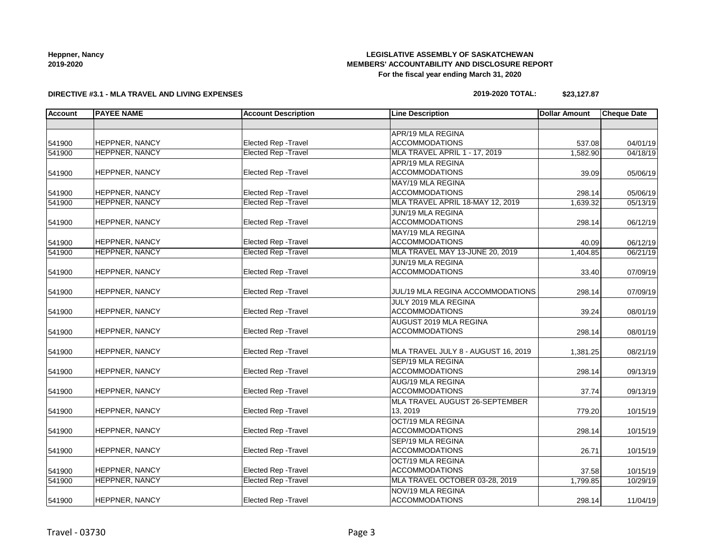## **LEGISLATIVE ASSEMBLY OF SASKATCHEWAN MEMBERS' ACCOUNTABILITY AND DISCLOSURE REPORT For the fiscal year ending March 31, 2020**

#### **DIRECTIVE #3.1 - MLA TRAVEL AND LIVING EXPENSES**

## **2019-2020 TOTAL: \$23,127.87**

| <b>Account</b> | <b>PAYEE NAME</b>     | <b>Account Description</b>  | <b>Line Description</b>             | <b>Dollar Amount</b> | <b>Cheque Date</b>    |
|----------------|-----------------------|-----------------------------|-------------------------------------|----------------------|-----------------------|
|                |                       |                             |                                     |                      |                       |
|                |                       |                             | APR/19 MLA REGINA                   |                      |                       |
| 541900         | <b>HEPPNER, NANCY</b> | <b>Elected Rep - Travel</b> | <b>ACCOMMODATIONS</b>               | 537.08               | 04/01/19              |
| 541900         | HEPPNER, NANCY        | <b>Elected Rep - Travel</b> | MLA TRAVEL APRIL 1 - 17, 2019       | 1,582.90             | $\overline{04/18/19}$ |
|                |                       |                             | APR/19 MLA REGINA                   |                      |                       |
| 541900         | HEPPNER, NANCY        | Elected Rep - Travel        | <b>ACCOMMODATIONS</b>               | 39.09                | 05/06/19              |
|                |                       |                             | MAY/19 MLA REGINA                   |                      |                       |
| 541900         | <b>HEPPNER, NANCY</b> | Elected Rep - Travel        | <b>ACCOMMODATIONS</b>               | 298.14               | 05/06/19              |
| 541900         | HEPPNER, NANCY        | <b>Elected Rep - Travel</b> | MLA TRAVEL APRIL 18-MAY 12, 2019    | 1,639.32             | 05/13/19              |
|                |                       |                             | JUN/19 MLA REGINA                   |                      |                       |
| 541900         | HEPPNER, NANCY        | Elected Rep - Travel        | <b>ACCOMMODATIONS</b>               | 298.14               | 06/12/19              |
|                |                       |                             | MAY/19 MLA REGINA                   |                      |                       |
| 541900         | HEPPNER, NANCY        | Elected Rep - Travel        | <b>ACCOMMODATIONS</b>               | 40.09                | 06/12/19              |
| 541900         | <b>HEPPNER, NANCY</b> | <b>Elected Rep - Travel</b> | MLA TRAVEL MAY 13-JUNE 20, 2019     | 1,404.85             | 06/21/19              |
|                |                       |                             | JUN/19 MLA REGINA                   |                      |                       |
| 541900         | <b>HEPPNER, NANCY</b> | <b>Elected Rep - Travel</b> | <b>ACCOMMODATIONS</b>               | 33.40                | 07/09/19              |
|                |                       |                             |                                     |                      |                       |
| 541900         | <b>HEPPNER, NANCY</b> | <b>Elected Rep - Travel</b> | JUL/19 MLA REGINA ACCOMMODATIONS    | 298.14               | 07/09/19              |
|                |                       |                             | JULY 2019 MLA REGINA                |                      |                       |
| 541900         | HEPPNER, NANCY        | Elected Rep - Travel        | <b>ACCOMMODATIONS</b>               | 39.24                | 08/01/19              |
|                |                       |                             | AUGUST 2019 MLA REGINA              |                      |                       |
| 541900         | HEPPNER, NANCY        | <b>Elected Rep - Travel</b> | <b>ACCOMMODATIONS</b>               | 298.14               | 08/01/19              |
|                |                       |                             |                                     |                      |                       |
| 541900         | HEPPNER, NANCY        | Elected Rep - Travel        | MLA TRAVEL JULY 8 - AUGUST 16, 2019 | 1,381.25             | 08/21/19              |
|                |                       |                             | <b>SEP/19 MLA REGINA</b>            |                      |                       |
| 541900         | HEPPNER, NANCY        | Elected Rep - Travel        | <b>ACCOMMODATIONS</b>               | 298.14               | 09/13/19              |
|                |                       |                             | <b>AUG/19 MLA REGINA</b>            |                      |                       |
| 541900         | HEPPNER, NANCY        | Elected Rep - Travel        | <b>ACCOMMODATIONS</b>               | 37.74                | 09/13/19              |
|                |                       |                             | MLA TRAVEL AUGUST 26-SEPTEMBER      |                      |                       |
| 541900         | <b>HEPPNER, NANCY</b> | <b>Elected Rep - Travel</b> | 13, 2019                            | 779.20               | 10/15/19              |
|                |                       |                             | OCT/19 MLA REGINA                   |                      |                       |
| 541900         | <b>HEPPNER, NANCY</b> | <b>Elected Rep - Travel</b> | <b>ACCOMMODATIONS</b>               | 298.14               | 10/15/19              |
|                |                       |                             | <b>SEP/19 MLA REGINA</b>            |                      |                       |
| 541900         | <b>HEPPNER, NANCY</b> | <b>Elected Rep - Travel</b> | <b>ACCOMMODATIONS</b>               | 26.71                | 10/15/19              |
|                |                       |                             | OCT/19 MLA REGINA                   |                      |                       |
| 541900         | <b>HEPPNER, NANCY</b> | Elected Rep - Travel        | <b>ACCOMMODATIONS</b>               | 37.58                | 10/15/19              |
| 541900         | <b>HEPPNER, NANCY</b> | Elected Rep - Travel        | MLA TRAVEL OCTOBER 03-28, 2019      | 1,799.85             | 10/29/19              |
|                |                       |                             | NOV/19 MLA REGINA                   |                      |                       |
| 541900         | HEPPNER, NANCY        | <b>Elected Rep - Travel</b> | <b>ACCOMMODATIONS</b>               | 298.14               | 11/04/19              |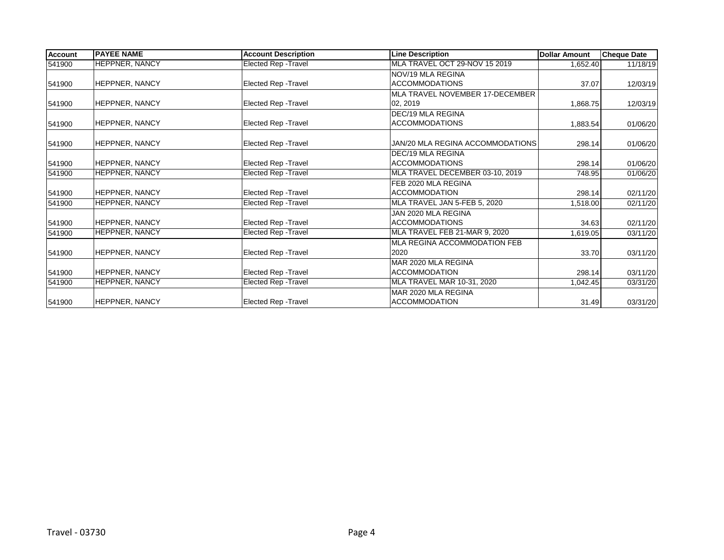| Account | <b>PAYEE NAME</b>     | <b>Account Description</b>  | <b>Line Description</b>                     | <b>Dollar Amount</b> | <b>Cheque Date</b> |
|---------|-----------------------|-----------------------------|---------------------------------------------|----------------------|--------------------|
| 541900  | <b>HEPPNER, NANCY</b> | Elected Rep - Travel        | MLA TRAVEL OCT 29-NOV 15 2019               | 1,652.40             | 11/18/19           |
|         |                       |                             | NOV/19 MLA REGINA                           |                      |                    |
| 541900  | <b>HEPPNER, NANCY</b> | Elected Rep - Travel        | <b>ACCOMMODATIONS</b>                       | 37.07                | 12/03/19           |
|         |                       |                             | MLA TRAVEL NOVEMBER 17-DECEMBER             |                      |                    |
| 541900  | <b>HEPPNER, NANCY</b> | Elected Rep - Travel        | 02, 2019                                    | 1,868.75             | 12/03/19           |
|         |                       |                             | DEC/19 MLA REGINA                           |                      |                    |
| 541900  | <b>HEPPNER, NANCY</b> | Elected Rep - Travel        | <b>ACCOMMODATIONS</b>                       | 1,883.54             | 01/06/20           |
| 541900  | <b>HEPPNER, NANCY</b> | Elected Rep - Travel        | <b>JAN/20 MLA REGINA ACCOMMODATIONS</b>     | 298.14               | 01/06/20           |
|         |                       |                             | DEC/19 MLA REGINA                           |                      |                    |
| 541900  | <b>HEPPNER, NANCY</b> | Elected Rep - Travel        | <b>ACCOMMODATIONS</b>                       | 298.14               | 01/06/20           |
| 541900  | <b>HEPPNER, NANCY</b> | <b>Elected Rep - Travel</b> | MLA TRAVEL DECEMBER 03-10, 2019             | 748.95               | 01/06/20           |
|         |                       |                             | FEB 2020 MLA REGINA                         |                      |                    |
| 541900  | <b>HEPPNER, NANCY</b> | Elected Rep - Travel        | <b>ACCOMMODATION</b>                        | 298.14               | 02/11/20           |
| 541900  | <b>HEPPNER, NANCY</b> | Elected Rep - Travel        | MLA TRAVEL JAN 5-FEB 5, 2020                | 1,518.00             | 02/11/20           |
|         |                       |                             | JAN 2020 MLA REGINA                         |                      |                    |
| 541900  | <b>HEPPNER, NANCY</b> | Elected Rep - Travel        | <b>ACCOMMODATIONS</b>                       | 34.63                | 02/11/20           |
| 541900  | <b>HEPPNER, NANCY</b> | Elected Rep - Travel        | MLA TRAVEL FEB 21-MAR 9, 2020               | 1.619.05             | 03/11/20           |
|         |                       |                             | MLA REGINA ACCOMMODATION FEB                |                      |                    |
| 541900  | <b>HEPPNER, NANCY</b> | Elected Rep - Travel        | 2020                                        | 33.70                | 03/11/20           |
|         |                       |                             | MAR 2020 MLA REGINA                         |                      |                    |
| 541900  | <b>HEPPNER, NANCY</b> | Elected Rep - Travel        | <b>ACCOMMODATION</b>                        | 298.14               | 03/11/20           |
| 541900  | <b>HEPPNER, NANCY</b> | Elected Rep - Travel        | MLA TRAVEL MAR 10-31, 2020                  | 1,042.45             | 03/31/20           |
| 541900  | <b>HEPPNER, NANCY</b> | Elected Rep - Travel        | MAR 2020 MLA REGINA<br><b>ACCOMMODATION</b> | 31.49                | 03/31/20           |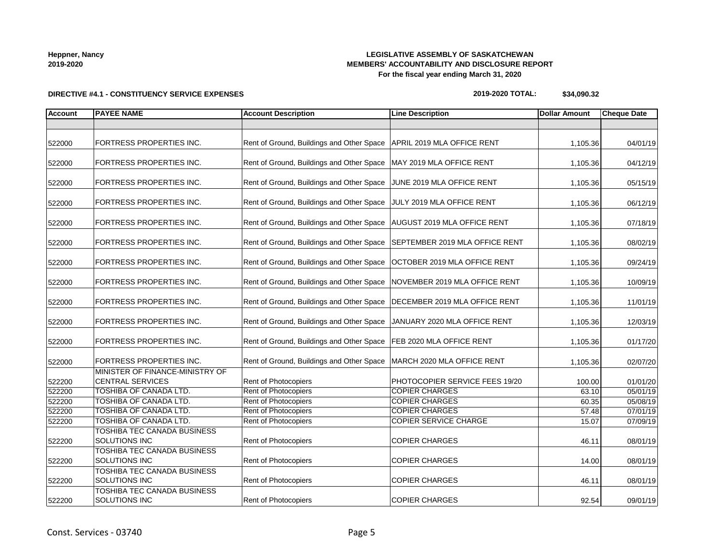## **LEGISLATIVE ASSEMBLY OF SASKATCHEWAN MEMBERS' ACCOUNTABILITY AND DISCLOSURE REPORT For the fiscal year ending March 31, 2020**

# **DIRECTIVE #4.1 - CONSTITUENCY SERVICE EXPENSES**

#### **2019-2020 TOTAL: \$34,090.32**

| <b>Account</b> | <b>PAYEE NAME</b>                                          | <b>Account Description</b>                                               | <b>Line Description</b>         | <b>Dollar Amount</b> | <b>Cheque Date</b> |
|----------------|------------------------------------------------------------|--------------------------------------------------------------------------|---------------------------------|----------------------|--------------------|
|                |                                                            |                                                                          |                                 |                      |                    |
| 522000         | FORTRESS PROPERTIES INC.                                   | Rent of Ground, Buildings and Other Space                                | APRIL 2019 MLA OFFICE RENT      | 1,105.36             | 04/01/19           |
| 522000         | FORTRESS PROPERTIES INC.                                   | Rent of Ground, Buildings and Other Space   MAY 2019 MLA OFFICE RENT     |                                 | 1,105.36             | 04/12/19           |
| 522000         | FORTRESS PROPERTIES INC.                                   | Rent of Ground, Buildings and Other Space                                | JUNE 2019 MLA OFFICE RENT       | 1,105.36             | 05/15/19           |
| 522000         | FORTRESS PROPERTIES INC.                                   | Rent of Ground, Buildings and Other Space                                | JULY 2019 MLA OFFICE RENT       | 1,105.36             | 06/12/19           |
| 522000         | FORTRESS PROPERTIES INC.                                   | Rent of Ground, Buildings and Other Space   AUGUST 2019 MLA OFFICE RENT  |                                 | 1,105.36             | 07/18/19           |
| 522000         | FORTRESS PROPERTIES INC.                                   | Rent of Ground, Buildings and Other Space SEPTEMBER 2019 MLA OFFICE RENT |                                 | 1,105.36             | 08/02/19           |
| 522000         | FORTRESS PROPERTIES INC.                                   | Rent of Ground, Buildings and Other Space                                | OCTOBER 2019 MLA OFFICE RENT    | 1,105.36             | 09/24/19           |
| 522000         | FORTRESS PROPERTIES INC.                                   | Rent of Ground, Buildings and Other Space                                | NOVEMBER 2019 MLA OFFICE RENT   | 1,105.36             | 10/09/19           |
| 522000         | FORTRESS PROPERTIES INC.                                   | Rent of Ground, Buildings and Other Space                                | DECEMBER 2019 MLA OFFICE RENT   | 1,105.36             | 11/01/19           |
| 522000         | FORTRESS PROPERTIES INC.                                   | Rent of Ground, Buildings and Other Space                                | JANUARY 2020 MLA OFFICE RENT    | 1,105.36             | 12/03/19           |
| 522000         | FORTRESS PROPERTIES INC.                                   | Rent of Ground, Buildings and Other Space                                | <b>FEB 2020 MLA OFFICE RENT</b> | 1,105.36             | 01/17/20           |
| 522000         | FORTRESS PROPERTIES INC.                                   | Rent of Ground, Buildings and Other Space   MARCH 2020 MLA OFFICE RENT   |                                 | 1,105.36             | 02/07/20           |
| 522200         | MINISTER OF FINANCE-MINISTRY OF<br><b>CENTRAL SERVICES</b> | Rent of Photocopiers                                                     | PHOTOCOPIER SERVICE FEES 19/20  | 100.00               | 01/01/20           |
| 522200         | TOSHIBA OF CANADA LTD.                                     | <b>Rent of Photocopiers</b>                                              | <b>COPIER CHARGES</b>           | 63.10                | 05/01/19           |
| 522200         | <b>TOSHIBA OF CANADA LTD.</b>                              | Rent of Photocopiers                                                     | <b>COPIER CHARGES</b>           | 60.35                | 05/08/19           |
| 522200         | TOSHIBA OF CANADA LTD.                                     | Rent of Photocopiers                                                     | <b>COPIER CHARGES</b>           | 57.48                | 07/01/19           |
| 522200         | TOSHIBA OF CANADA LTD.                                     | Rent of Photocopiers                                                     | COPIER SERVICE CHARGE           | 15.07                | 07/09/19           |
| 522200         | TOSHIBA TEC CANADA BUSINESS<br><b>SOLUTIONS INC</b>        | <b>Rent of Photocopiers</b>                                              | <b>COPIER CHARGES</b>           | 46.11                | 08/01/19           |
| 522200         | TOSHIBA TEC CANADA BUSINESS<br>SOLUTIONS INC               | Rent of Photocopiers                                                     | <b>COPIER CHARGES</b>           | 14.00                | 08/01/19           |
| 522200         | TOSHIBA TEC CANADA BUSINESS<br>SOLUTIONS INC               | <b>Rent of Photocopiers</b>                                              | <b>COPIER CHARGES</b>           | 46.11                | 08/01/19           |
| 522200         | TOSHIBA TEC CANADA BUSINESS<br>SOLUTIONS INC               | <b>Rent of Photocopiers</b>                                              | <b>COPIER CHARGES</b>           | 92.54                | 09/01/19           |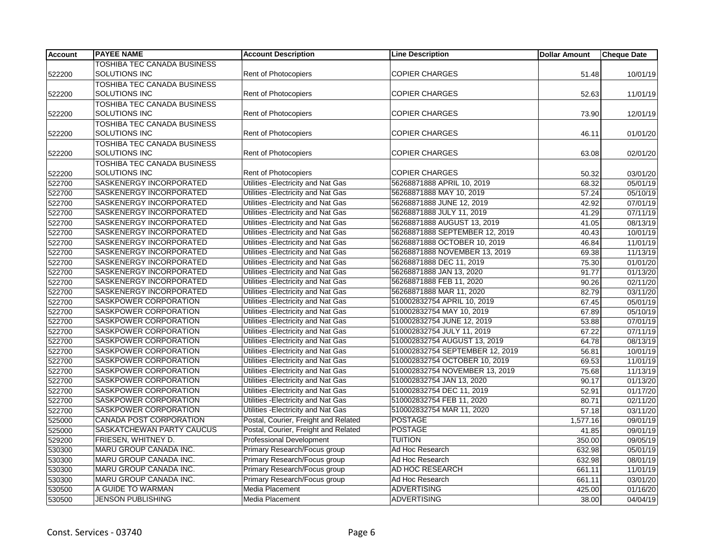| <b>Account</b> | <b>PAYEE NAME</b>                  | <b>Account Description</b>           | <b>Line Description</b>         | <b>Dollar Amount</b> | <b>Cheque Date</b> |
|----------------|------------------------------------|--------------------------------------|---------------------------------|----------------------|--------------------|
|                | <b>TOSHIBA TEC CANADA BUSINESS</b> |                                      |                                 |                      |                    |
| 522200         | <b>SOLUTIONS INC</b>               | Rent of Photocopiers                 | <b>COPIER CHARGES</b>           | 51.48                | 10/01/19           |
|                | <b>TOSHIBA TEC CANADA BUSINESS</b> |                                      |                                 |                      |                    |
| 522200         | <b>SOLUTIONS INC</b>               | Rent of Photocopiers                 | <b>COPIER CHARGES</b>           | 52.63                | 11/01/19           |
|                | TOSHIBA TEC CANADA BUSINESS        |                                      |                                 |                      |                    |
| 522200         | SOLUTIONS INC                      | <b>Rent of Photocopiers</b>          | <b>COPIER CHARGES</b>           | 73.90                | 12/01/19           |
|                | TOSHIBA TEC CANADA BUSINESS        |                                      |                                 |                      |                    |
| 522200         | <b>SOLUTIONS INC</b>               | <b>Rent of Photocopiers</b>          | <b>COPIER CHARGES</b>           | 46.11                | 01/01/20           |
|                | TOSHIBA TEC CANADA BUSINESS        |                                      |                                 |                      |                    |
| 522200         | SOLUTIONS INC                      | <b>Rent of Photocopiers</b>          | <b>COPIER CHARGES</b>           | 63.08                | 02/01/20           |
|                | <b>TOSHIBA TEC CANADA BUSINESS</b> |                                      |                                 |                      |                    |
| 522200         | <b>SOLUTIONS INC</b>               | <b>Rent of Photocopiers</b>          | <b>COPIER CHARGES</b>           | 50.32                | 03/01/20           |
| 522700         | SASKENERGY INCORPORATED            | Utilities - Electricity and Nat Gas  | 56268871888 APRIL 10, 2019      | 68.32                | 05/01/19           |
| 522700         | SASKENERGY INCORPORATED            | Utilities - Electricity and Nat Gas  | 56268871888 MAY 10, 2019        | 57.24                | 05/10/19           |
| 522700         | SASKENERGY INCORPORATED            | Utilities - Electricity and Nat Gas  | 56268871888 JUNE 12, 2019       | 42.92                | 07/01/19           |
| 522700         | SASKENERGY INCORPORATED            | Utilities - Electricity and Nat Gas  | 56268871888 JULY 11, 2019       | 41.29                | 07/11/19           |
| 522700         | SASKENERGY INCORPORATED            | Utilities - Electricity and Nat Gas  | 56268871888 AUGUST 13, 2019     | 41.05                | 08/13/19           |
| 522700         | <b>SASKENERGY INCORPORATED</b>     | Utilities - Electricity and Nat Gas  | 56268871888 SEPTEMBER 12, 2019  | 40.43                | 10/01/19           |
| 522700         | SASKENERGY INCORPORATED            | Utilities - Electricity and Nat Gas  | 56268871888 OCTOBER 10, 2019    | 46.84                | 11/01/19           |
| 522700         | SASKENERGY INCORPORATED            | Utilities - Electricity and Nat Gas  | 56268871888 NOVEMBER 13, 2019   | 69.38                | 11/13/19           |
| 522700         | SASKENERGY INCORPORATED            | Utilities - Electricity and Nat Gas  | 56268871888 DEC 11, 2019        | 75.30                | 01/01/20           |
| 522700         | SASKENERGY INCORPORATED            | Utilities - Electricity and Nat Gas  | 56268871888 JAN 13, 2020        | 91.77                | 01/13/20           |
| 522700         | SASKENERGY INCORPORATED            | Utilities - Electricity and Nat Gas  | 56268871888 FEB 11, 2020        | 90.26                | 02/11/20           |
| 522700         | SASKENERGY INCORPORATED            | Utilities - Electricity and Nat Gas  | 56268871888 MAR 11, 2020        | 82.79                | 03/11/20           |
| 522700         | SASKPOWER CORPORATION              | Utilities - Electricity and Nat Gas  | 510002832754 APRIL 10, 2019     | 67.45                | 05/01/19           |
| 522700         | SASKPOWER CORPORATION              | Utilities - Electricity and Nat Gas  | 510002832754 MAY 10, 2019       | 67.89                | 05/10/19           |
| 522700         | SASKPOWER CORPORATION              | Utilities - Electricity and Nat Gas  | 510002832754 JUNE 12, 2019      | 53.88                | 07/01/19           |
| 522700         | SASKPOWER CORPORATION              | Utilities - Electricity and Nat Gas  | 510002832754 JULY 11, 2019      | 67.22                | 07/11/19           |
| 522700         | <b>SASKPOWER CORPORATION</b>       | Utilities - Electricity and Nat Gas  | 510002832754 AUGUST 13, 2019    | 64.78                | 08/13/19           |
| 522700         | SASKPOWER CORPORATION              | Utilities - Electricity and Nat Gas  | 510002832754 SEPTEMBER 12, 2019 | 56.81                | 10/01/19           |
| 522700         | SASKPOWER CORPORATION              | Utilities - Electricity and Nat Gas  | 510002832754 OCTOBER 10, 2019   | 69.53                | 11/01/19           |
| 522700         | SASKPOWER CORPORATION              | Utilities - Electricity and Nat Gas  | 510002832754 NOVEMBER 13, 2019  | 75.68                | 11/13/19           |
| 522700         | SASKPOWER CORPORATION              | Utilities - Electricity and Nat Gas  | 510002832754 JAN 13, 2020       | 90.17                | 01/13/20           |
| 522700         | SASKPOWER CORPORATION              | Utilities - Electricity and Nat Gas  | 510002832754 DEC 11, 2019       | 52.91                | 01/17/20           |
| 522700         | SASKPOWER CORPORATION              | Utilities - Electricity and Nat Gas  | 510002832754 FEB 11, 2020       | 80.71                | 02/11/20           |
| 522700         | SASKPOWER CORPORATION              | Utilities - Electricity and Nat Gas  | 510002832754 MAR 11, 2020       | 57.18                | 03/11/20           |
| 525000         | <b>CANADA POST CORPORATION</b>     | Postal, Courier, Freight and Related | <b>POSTAGE</b>                  | 1,577.16             | 09/01/19           |
| 525000         | SASKATCHEWAN PARTY CAUCUS          | Postal, Courier, Freight and Related | <b>POSTAGE</b>                  | 41.85                | 09/01/19           |
| 529200         | FRIESEN, WHITNEY D.                | <b>Professional Development</b>      | <b>TUITION</b>                  | 350.00               | 09/05/19           |
| 530300         | MARU GROUP CANADA INC.             | Primary Research/Focus group         | Ad Hoc Research                 | 632.98               | 05/01/19           |
| 530300         | MARU GROUP CANADA INC.             | Primary Research/Focus group         | Ad Hoc Research                 | 632.98               | 08/01/19           |
| 530300         | MARU GROUP CANADA INC.             | Primary Research/Focus group         | AD HOC RESEARCH                 | 661.11               | 11/01/19           |
| 530300         | MARU GROUP CANADA INC.             | Primary Research/Focus group         | Ad Hoc Research                 | 661.11               | 03/01/20           |
| 530500         | A GUIDE TO WARMAN                  | <b>Media Placement</b>               | <b>ADVERTISING</b>              | 425.00               | 01/16/20           |
| 530500         | <b>JENSON PUBLISHING</b>           | Media Placement                      | <b>ADVERTISING</b>              | 38.00                | 04/04/19           |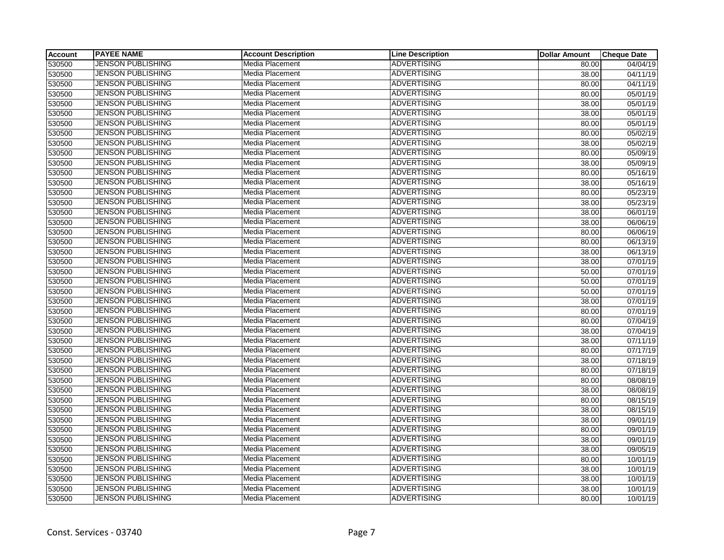| <b>Account</b> | <b>PAYEE NAME</b>        | <b>Account Description</b> | <b>Line Description</b> | <b>Dollar Amount</b> | <b>Cheque Date</b>    |
|----------------|--------------------------|----------------------------|-------------------------|----------------------|-----------------------|
| 530500         | <b>JENSON PUBLISHING</b> | Media Placement            | <b>ADVERTISING</b>      | 80.00                | 04/04/19              |
| 530500         | <b>JENSON PUBLISHING</b> | Media Placement            | <b>ADVERTISING</b>      | 38.00                | 04/11/19              |
| 530500         | <b>JENSON PUBLISHING</b> | <b>Media Placement</b>     | <b>ADVERTISING</b>      | 80.00                | 04/11/19              |
| 530500         | <b>JENSON PUBLISHING</b> | Media Placement            | <b>ADVERTISING</b>      | 80.00                | 05/01/19              |
| 530500         | <b>JENSON PUBLISHING</b> | Media Placement            | <b>ADVERTISING</b>      | 38.00                | 05/01/19              |
| 530500         | <b>JENSON PUBLISHING</b> | Media Placement            | <b>ADVERTISING</b>      | 38.00                | 05/01/19              |
| 530500         | JENSON PUBLISHING        | Media Placement            | <b>ADVERTISING</b>      | 80.00                | 05/01/19              |
| 530500         | <b>JENSON PUBLISHING</b> | Media Placement            | <b>ADVERTISING</b>      | 80.00                | 05/02/19              |
| 530500         | <b>JENSON PUBLISHING</b> | Media Placement            | <b>ADVERTISING</b>      | 38.00                | 05/02/19              |
| 530500         | <b>JENSON PUBLISHING</b> | Media Placement            | <b>ADVERTISING</b>      | 80.00                | 05/09/19              |
| 530500         | <b>JENSON PUBLISHING</b> | Media Placement            | <b>ADVERTISING</b>      | 38.00                | 05/09/19              |
| 530500         | JENSON PUBLISHING        | Media Placement            | <b>ADVERTISING</b>      | 80.00                | 05/16/19              |
| 530500         | JENSON PUBLISHING        | Media Placement            | <b>ADVERTISING</b>      | 38.00                | 05/16/19              |
| 530500         | <b>JENSON PUBLISHING</b> | Media Placement            | <b>ADVERTISING</b>      | 80.00                | 05/23/19              |
| 530500         | <b>JENSON PUBLISHING</b> | Media Placement            | <b>ADVERTISING</b>      | 38.00                | 05/23/19              |
| 530500         | <b>JENSON PUBLISHING</b> | Media Placement            | <b>ADVERTISING</b>      | 38.00                | 06/01/19              |
| 530500         | <b>JENSON PUBLISHING</b> | Media Placement            | <b>ADVERTISING</b>      | 38.00                | 06/06/19              |
| 530500         | JENSON PUBLISHING        | Media Placement            | <b>ADVERTISING</b>      | 80.00                | 06/06/19              |
| 530500         | <b>JENSON PUBLISHING</b> | Media Placement            | <b>ADVERTISING</b>      | 80.00                | 06/13/19              |
| 530500         | <b>JENSON PUBLISHING</b> | Media Placement            | <b>ADVERTISING</b>      | 38.00                | 06/13/19              |
| 530500         | <b>JENSON PUBLISHING</b> | Media Placement            | <b>ADVERTISING</b>      | 38.00                | 07/01/19              |
| 530500         | <b>JENSON PUBLISHING</b> | Media Placement            | <b>ADVERTISING</b>      | 50.00                | 07/01/19              |
| 530500         | JENSON PUBLISHING        | Media Placement            | <b>ADVERTISING</b>      | 50.00                | 07/01/19              |
| 530500         | JENSON PUBLISHING        | Media Placement            | <b>ADVERTISING</b>      | 50.00                | $\overline{07/0}1/19$ |
| 530500         | <b>JENSON PUBLISHING</b> | Media Placement            | <b>ADVERTISING</b>      | 38.00                | 07/01/19              |
| 530500         | <b>JENSON PUBLISHING</b> | Media Placement            | <b>ADVERTISING</b>      | 80.00                | 07/01/19              |
| 530500         | <b>JENSON PUBLISHING</b> | Media Placement            | <b>ADVERTISING</b>      | 80.00                | 07/04/19              |
| 530500         | JENSON PUBLISHING        | Media Placement            | <b>ADVERTISING</b>      | 38.00                | 07/04/19              |
| 530500         | JENSON PUBLISHING        | Media Placement            | <b>ADVERTISING</b>      | 38.00                | 07/11/19              |
| 530500         | <b>JENSON PUBLISHING</b> | Media Placement            | <b>ADVERTISING</b>      | 80.00                | 07/17/19              |
| 530500         | JENSON PUBLISHING        | Media Placement            | <b>ADVERTISING</b>      | 38.00                | 07/18/19              |
| 530500         | JENSON PUBLISHING        | Media Placement            | <b>ADVERTISING</b>      | 80.00                | $\overline{07/18/19}$ |
| 530500         | JENSON PUBLISHING        | Media Placement            | <b>ADVERTISING</b>      | 80.00                | 08/08/19              |
| 530500         | <b>JENSON PUBLISHING</b> | Media Placement            | <b>ADVERTISING</b>      | 38.00                | 08/08/19              |
| 530500         | JENSON PUBLISHING        | Media Placement            | <b>ADVERTISING</b>      | 80.00                | 08/15/19              |
| 530500         | <b>JENSON PUBLISHING</b> | Media Placement            | <b>ADVERTISING</b>      | 38.00                | 08/15/19              |
| 530500         | <b>JENSON PUBLISHING</b> | Media Placement            | <b>ADVERTISING</b>      | 38.00                | 09/01/19              |
| 530500         | <b>JENSON PUBLISHING</b> | Media Placement            | <b>ADVERTISING</b>      | 80.00                | 09/01/19              |
| 530500         | JENSON PUBLISHING        | Media Placement            | <b>ADVERTISING</b>      | 38.00                | 09/01/19              |
| 530500         | <b>JENSON PUBLISHING</b> | Media Placement            | <b>ADVERTISING</b>      | 38.00                | 09/05/19              |
| 530500         | <b>JENSON PUBLISHING</b> | Media Placement            | <b>ADVERTISING</b>      | 80.00                | 10/01/19              |
| 530500         | <b>JENSON PUBLISHING</b> | Media Placement            | <b>ADVERTISING</b>      | 38.00                | 10/01/19              |
| 530500         | JENSON PUBLISHING        | Media Placement            | <b>ADVERTISING</b>      | 38.00                | 10/01/19              |
| 530500         | <b>JENSON PUBLISHING</b> | Media Placement            | <b>ADVERTISING</b>      | 38.00                | 10/01/19              |
| 530500         | <b>JENSON PUBLISHING</b> | Media Placement            | <b>ADVERTISING</b>      | 80.00                | 10/01/19              |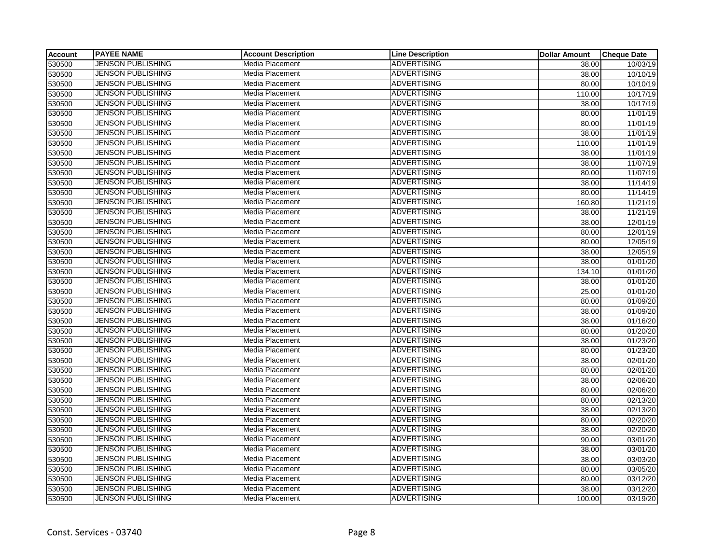| <b>Account</b> | <b>PAYEE NAME</b>        | <b>Account Description</b> | <b>Line Description</b> | <b>Dollar Amount</b> | <b>Cheque Date</b>    |
|----------------|--------------------------|----------------------------|-------------------------|----------------------|-----------------------|
| 530500         | <b>JENSON PUBLISHING</b> | <b>Media Placement</b>     | <b>ADVERTISING</b>      | 38.00                | 10/03/19              |
| 530500         | <b>JENSON PUBLISHING</b> | <b>Media Placement</b>     | <b>ADVERTISING</b>      | 38.00                | 10/10/19              |
| 530500         | <b>JENSON PUBLISHING</b> | <b>Media Placement</b>     | <b>ADVERTISING</b>      | 80.00                | 10/10/19              |
| 530500         | <b>JENSON PUBLISHING</b> | Media Placement            | <b>ADVERTISING</b>      | 110.00               | 10/17/19              |
| 530500         | <b>JENSON PUBLISHING</b> | Media Placement            | <b>ADVERTISING</b>      | 38.00                | 10/17/19              |
| 530500         | <b>JENSON PUBLISHING</b> | <b>Media Placement</b>     | ADVERTISING             | 80.00                | 11/01/19              |
| 530500         | JENSON PUBLISHING        | <b>Media Placement</b>     | <b>ADVERTISING</b>      | 80.00                | 11/01/19              |
| 530500         | <b>JENSON PUBLISHING</b> | Media Placement            | <b>ADVERTISING</b>      | 38.00                | 11/01/19              |
| 530500         | <b>JENSON PUBLISHING</b> | Media Placement            | <b>ADVERTISING</b>      | 110.00               | 11/01/19              |
| 530500         | <b>JENSON PUBLISHING</b> | <b>Media Placement</b>     | <b>ADVERTISING</b>      | 38.00                | 11/01/19              |
| 530500         | <b>JENSON PUBLISHING</b> | Media Placement            | <b>ADVERTISING</b>      | 38.00                | 11/07/19              |
| 530500         | JENSON PUBLISHING        | Media Placement            | ADVERTISING             | 80.00                | 11/07/19              |
| 530500         | JENSON PUBLISHING        | <b>Media Placement</b>     | <b>ADVERTISING</b>      | 38.00                | 11/14/19              |
| 530500         | <b>JENSON PUBLISHING</b> | <b>Media Placement</b>     | <b>ADVERTISING</b>      | 80.00                | 11/14/19              |
| 530500         | <b>JENSON PUBLISHING</b> | Media Placement            | <b>ADVERTISING</b>      | 160.80               | 11/21/19              |
| 530500         | <b>JENSON PUBLISHING</b> | Media Placement            | <b>ADVERTISING</b>      | 38.00                | 11/21/19              |
| 530500         | <b>JENSON PUBLISHING</b> | Media Placement            | <b>ADVERTISING</b>      | 38.00                | 12/01/19              |
| 530500         | <b>JENSON PUBLISHING</b> | <b>Media Placement</b>     | <b>ADVERTISING</b>      | 80.00                | 12/01/19              |
| 530500         | <b>JENSON PUBLISHING</b> | <b>Media Placement</b>     | <b>ADVERTISING</b>      | 80.00                | 12/05/19              |
| 530500         | <b>JENSON PUBLISHING</b> | Media Placement            | <b>ADVERTISING</b>      | 38.00                | 12/05/19              |
| 530500         | <b>JENSON PUBLISHING</b> | Media Placement            | <b>ADVERTISING</b>      | 38.00                | 01/01/20              |
| 530500         | <b>JENSON PUBLISHING</b> | Media Placement            | ADVERTISING             | 134.10               | 01/01/20              |
| 530500         | JENSON PUBLISHING        | Media Placement            | <b>ADVERTISING</b>      | 38.00                | 01/01/20              |
| 530500         | JENSON PUBLISHING        | Media Placement            | <b>ADVERTISING</b>      | 25.00                | 01/01/20              |
| 530500         | <b>JENSON PUBLISHING</b> | Media Placement            | <b>ADVERTISING</b>      | 80.00                | 01/09/20              |
| 530500         | <b>JENSON PUBLISHING</b> | <b>Media Placement</b>     | <b>ADVERTISING</b>      | 38.00                | 01/09/20              |
| 530500         | <b>JENSON PUBLISHING</b> | Media Placement            | <b>ADVERTISING</b>      | 38.00                | 01/16/20              |
| 530500         | JENSON PUBLISHING        | Media Placement            | ADVERTISING             | 80.00                | 01/20/20              |
| 530500         | JENSON PUBLISHING        | <b>Media Placement</b>     | <b>ADVERTISING</b>      | 38.00                | 01/23/20              |
| 530500         | <b>JENSON PUBLISHING</b> | Media Placement            | <b>ADVERTISING</b>      | 80.00                | $\overline{01/23/20}$ |
| 530500         | JENSON PUBLISHING        | Media Placement            | <b>ADVERTISING</b>      | 38.00                | 02/01/20              |
| 530500         | <b>JENSON PUBLISHING</b> | <b>Media Placement</b>     | <b>ADVERTISING</b>      | 80.00                | 02/01/20              |
| 530500         | JENSON PUBLISHING        | Media Placement            | <b>ADVERTISING</b>      | 38.00                | 02/06/20              |
| 530500         | <b>JENSON PUBLISHING</b> | Media Placement            | <b>ADVERTISING</b>      | 80.00                | 02/06/20              |
| 530500         | JENSON PUBLISHING        | <b>Media Placement</b>     | <b>ADVERTISING</b>      | 80.00                | 02/13/20              |
| 530500         | <b>JENSON PUBLISHING</b> | <b>Media Placement</b>     | <b>ADVERTISING</b>      | 38.00                | 02/13/20              |
| 530500         | <b>JENSON PUBLISHING</b> | Media Placement            | <b>ADVERTISING</b>      | 80.00                | 02/20/20              |
| 530500         | <b>JENSON PUBLISHING</b> | Media Placement            | <b>ADVERTISING</b>      | 38.00                | 02/20/20              |
| 530500         | JENSON PUBLISHING        | Media Placement            | <b>ADVERTISING</b>      | 90.00                | 03/01/20              |
| 530500         | <b>JENSON PUBLISHING</b> | <b>Media Placement</b>     | <b>ADVERTISING</b>      | 38.00                | 03/01/20              |
| 530500         | <b>JENSON PUBLISHING</b> | Media Placement            | <b>ADVERTISING</b>      | 38.00                | 03/03/20              |
| 530500         | <b>JENSON PUBLISHING</b> | Media Placement            | <b>ADVERTISING</b>      | 80.00                | 03/05/20              |
| 530500         | JENSON PUBLISHING        | <b>Media Placement</b>     | <b>ADVERTISING</b>      | 80.00                | 03/12/20              |
| 530500         | JENSON PUBLISHING        | Media Placement            | <b>ADVERTISING</b>      | 38.00                | 03/12/20              |
| 530500         | <b>JENSON PUBLISHING</b> | <b>Media Placement</b>     | <b>ADVERTISING</b>      | 100.00               | 03/19/20              |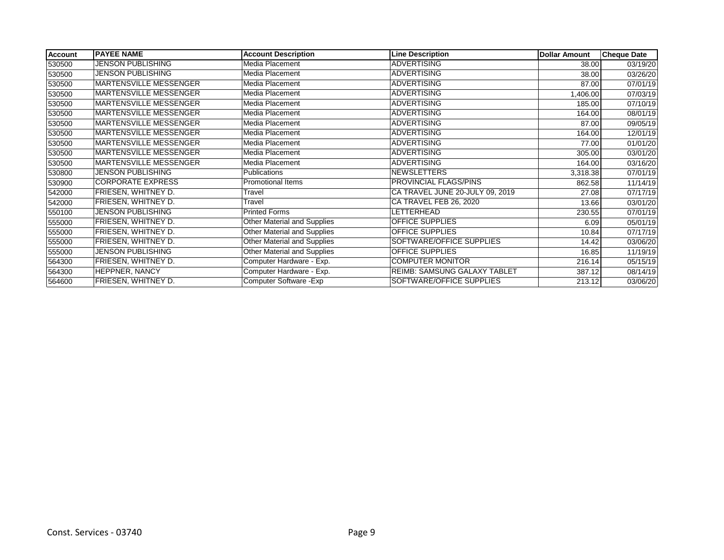| <b>Account</b> | <b>PAYEE NAME</b>             | <b>Account Description</b>  | <b>Line Description</b>             | <b>Dollar Amount</b> | <b>Cheque Date</b>    |
|----------------|-------------------------------|-----------------------------|-------------------------------------|----------------------|-----------------------|
| 530500         | <b>JENSON PUBLISHING</b>      | Media Placement             | <b>ADVERTISING</b>                  | 38.00                | 03/19/20              |
| 530500         | JENSON PUBLISHING             | Media Placement             | <b>ADVERTISING</b>                  | 38.00                | 03/26/20              |
| 530500         | <b>MARTENSVILLE MESSENGER</b> | Media Placement             | <b>ADVERTISING</b>                  | 87.00                | 07/01/19              |
| 530500         | <b>MARTENSVILLE MESSENGER</b> | Media Placement             | <b>ADVERTISING</b>                  | 1,406.00             | 07/03/19              |
| 530500         | <b>MARTENSVILLE MESSENGER</b> | Media Placement             | <b>ADVERTISING</b>                  | 185.00               | 07/10/19              |
| 530500         | <b>MARTENSVILLE MESSENGER</b> | Media Placement             | <b>ADVERTISING</b>                  | 164.00               | 08/01/19              |
| 530500         | <b>MARTENSVILLE MESSENGER</b> | Media Placement             | <b>ADVERTISING</b>                  | 87.00                | 09/05/19              |
| 530500         | <b>MARTENSVILLE MESSENGER</b> | Media Placement             | <b>ADVERTISING</b>                  | 164.00               | 12/01/19              |
| 530500         | <b>MARTENSVILLE MESSENGER</b> | Media Placement             | <b>ADVERTISING</b>                  | 77.00                | 01/01/20              |
| 530500         | <b>MARTENSVILLE MESSENGER</b> | Media Placement             | <b>ADVERTISING</b>                  | 305.00               | 03/01/20              |
| 530500         | <b>MARTENSVILLE MESSENGER</b> | Media Placement             | <b>ADVERTISING</b>                  | 164.00               | $\overline{03}/16/20$ |
| 530800         | JENSON PUBLISHING             | <b>Publications</b>         | <b>NEWSLETTERS</b>                  | 3,318.38             | 07/01/19              |
| 530900         | <b>CORPORATE EXPRESS</b>      | <b>Promotional Items</b>    | PROVINCIAL FLAGS/PINS               | 862.58               | 11/14/19              |
| 542000         | FRIESEN, WHITNEY D.           | Travel                      | CA TRAVEL JUNE 20-JULY 09, 2019     | 27.08                | 07/17/19              |
| 542000         | FRIESEN, WHITNEY D.           | Travel                      | CA TRAVEL FEB 26, 2020              | 13.66                | 03/01/20              |
| 550100         | <b>JENSON PUBLISHING</b>      | <b>Printed Forms</b>        | LETTERHEAD                          | 230.55               | 07/01/19              |
| 555000         | FRIESEN, WHITNEY D.           | Other Material and Supplies | <b>OFFICE SUPPLIES</b>              | 6.09                 | 05/01/19              |
| 555000         | FRIESEN, WHITNEY D.           | Other Material and Supplies | <b>OFFICE SUPPLIES</b>              | 10.84                | 07/17/19              |
| 555000         | FRIESEN, WHITNEY D.           | Other Material and Supplies | SOFTWARE/OFFICE SUPPLIES            | 14.42                | 03/06/20              |
| 555000         | <b>JENSON PUBLISHING</b>      | Other Material and Supplies | <b>OFFICE SUPPLIES</b>              | 16.85                | 11/19/19              |
| 564300         | FRIESEN, WHITNEY D.           | Computer Hardware - Exp.    | <b>COMPUTER MONITOR</b>             | 216.14               | 05/15/19              |
| 564300         | HEPPNER, NANCY                | Computer Hardware - Exp.    | <b>REIMB: SAMSUNG GALAXY TABLET</b> | 387.12               | 08/14/19              |
| 564600         | FRIESEN, WHITNEY D.           | Computer Software - Exp     | SOFTWARE/OFFICE SUPPLIES            | 213.12               | 03/06/20              |